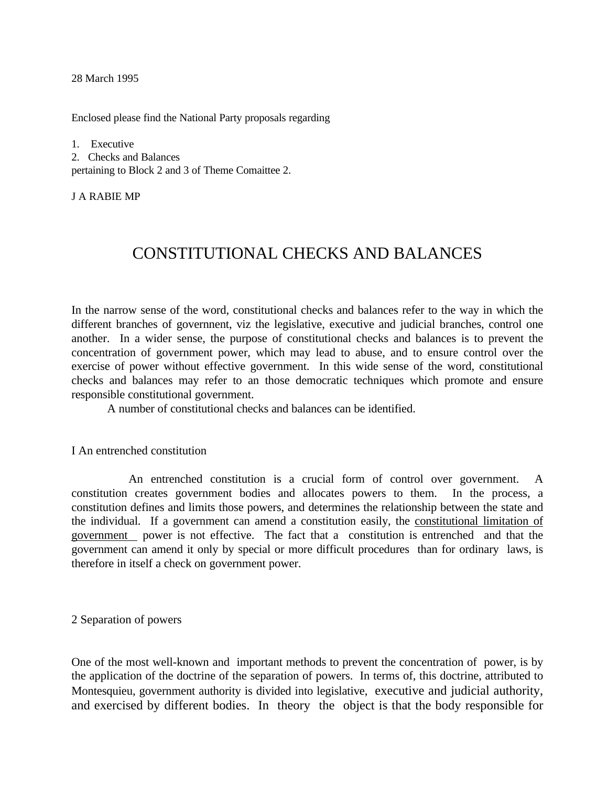28 March 1995

Enclosed please find the National Party proposals regarding

1. Executive 2. Checks and Balances pertaining to Block 2 and 3 of Theme Comaittee 2.

J A RABIE MP

# CONSTITUTIONAL CHECKS AND BALANCES

In the narrow sense of the word, constitutional checks and balances refer to the way in which the different branches of governnent, viz the legislative, executive and judicial branches, control one another. In a wider sense, the purpose of constitutional checks and balances is to prevent the concentration of government power, which may lead to abuse, and to ensure control over the exercise of power without effective government. In this wide sense of the word, constitutional checks and balances may refer to an those democratic techniques which promote and ensure responsible constitutional government.

A number of constitutional checks and balances can be identified.

I An entrenched constitution

An entrenched constitution is a crucial form of control over government. A constitution creates government bodies and allocates powers to them. In the process, a constitution defines and limits those powers, and determines the relationship between the state and the individual. If a government can amend a constitution easily, the constitutional limitation of government power is not effective. The fact that a constitution is entrenched and that the government can amend it only by special or more difficult procedures than for ordinary laws, is therefore in itself a check on government power.

2 Separation of powers

One of the most well-known and important methods to prevent the concentration of power, is by the application of the doctrine of the separation of powers. In terms of, this doctrine, attributed to Montesquieu, government authority is divided into legislative, executive and judicial authority, and exercised by different bodies. In theory the object is that the body responsible for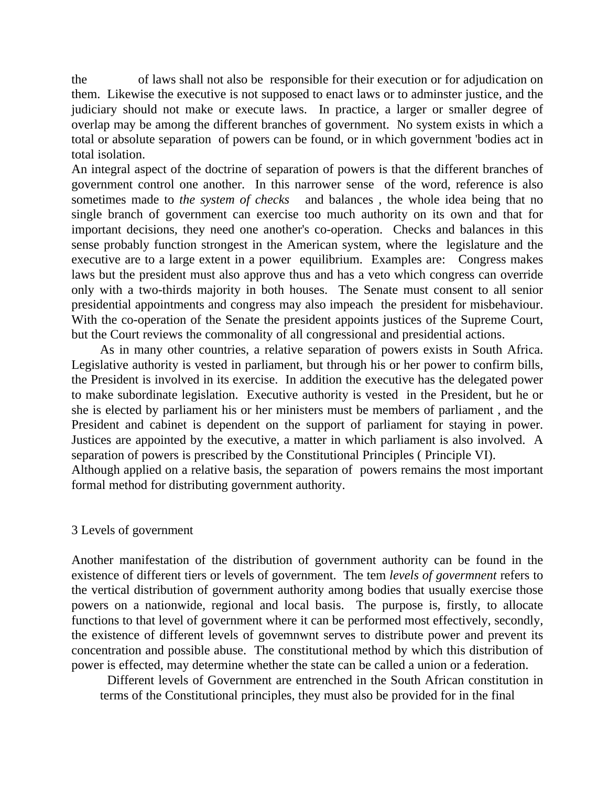the of laws shall not also be responsible for their execution or for adjudication on them. Likewise the executive is not supposed to enact laws or to adminster justice, and the judiciary should not make or execute laws. In practice, a larger or smaller degree of overlap may be among the different branches of government. No system exists in which a total or absolute separation of powers can be found, or in which government 'bodies act in total isolation.

An integral aspect of the doctrine of separation of powers is that the different branches of government control one another. In this narrower sense of the word, reference is also sometimes made to *the system of checks* and balances *,* the whole idea being that no single branch of government can exercise too much authority on its own and that for important decisions, they need one another's co-operation. Checks and balances in this sense probably function strongest in the American system, where the legislature and the executive are to a large extent in a power equilibrium. Examples are: Congress makes laws but the president must also approve thus and has a veto which congress can override only with a two-thirds majority in both houses. The Senate must consent to all senior presidential appointments and congress may also impeach the president for misbehaviour. With the co-operation of the Senate the president appoints justices of the Supreme Court, but the Court reviews the commonality of all congressional and presidential actions.

As in many other countries, a relative separation of powers exists in South Africa. Legislative authority is vested in parliament, but through his or her power to confirm bills, the President is involved in its exercise. In addition the executive has the delegated power to make subordinate legislation. Executive authority is vested in the President, but he or she is elected by parliament his or her ministers must be members of parliament , and the President and cabinet is dependent on the support of parliament for staying in power. Justices are appointed by the executive, a matter in which parliament is also involved. A separation of powers is prescribed by the Constitutional Principles ( Principle VI). Although applied on a relative basis, the separation of powers remains the most important formal method for distributing government authority.

## 3 Levels of government

Another manifestation of the distribution of government authority can be found in the existence of different tiers or levels of government. The tem *levels of govermnent* refers to the vertical distribution of government authority among bodies that usually exercise those powers on a nationwide, regional and local basis. The purpose is, firstly*,* to allocate functions to that level of government where it can be performed most effectively, secondly, the existence of different levels of govemnwnt serves to distribute power and prevent its concentration and possible abuse. The constitutional method by which this distribution of power is effected, may determine whether the state can be called a union or a federation.

Different levels of Government are entrenched in the South African constitution in terms of the Constitutional principles, they must also be provided for in the final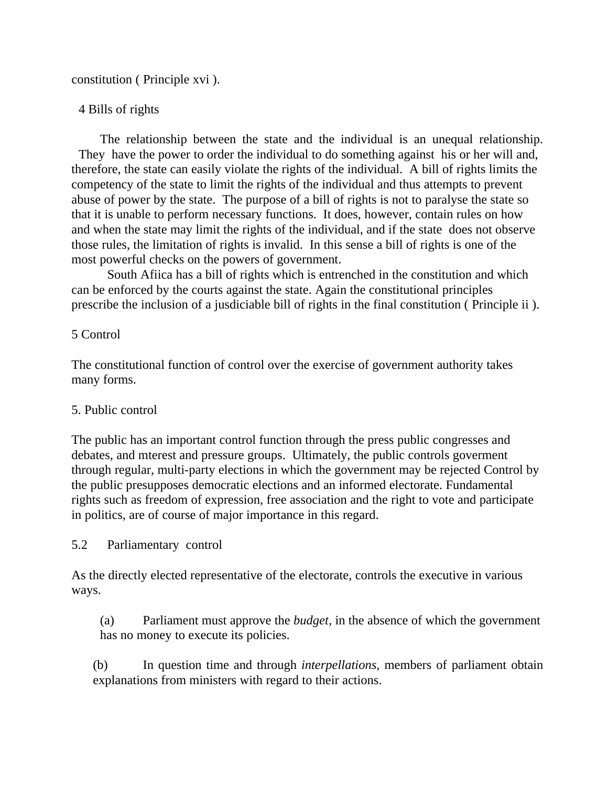constitution ( Principle xvi ).

## 4 Bills of rights

The relationship between the state and the individual is an unequal relationship. They have the power to order the individual to do something against his or her will and, therefore, the state can easily violate the rights of the individual. A bill of rights limits the competency of the state to limit the rights of the individual and thus attempts to prevent abuse of power by the state. The purpose of a bill of rights is not to paralyse the state so that it is unable to perform necessary functions. It does, however, contain rules on how and when the state may limit the rights of the individual, and if the state does not observe those rules, the limitation of rights is invalid. In this sense a bill of rights is one of the most powerful checks on the powers of government.

South Afiica has a bill of rights which is entrenched in the constitution and which can be enforced by the courts against the state. Again the constitutional principles prescribe the inclusion of a jusdiciable bill of rights in the final constitution ( Principle ii ).

## 5 Control

The constitutional function of control over the exercise of government authority takes many forms.

## 5. Public control

The public has an important control function through the press public congresses and debates, and mterest and pressure groups. Ultimately, the public controls goverment through regular, multi-party elections in which the government may be rejected Control by the public presupposes democratic elections and an informed electorate. Fundamental rights such as freedom of expression, free association and the right to vote and participate in politics, are of course of major importance in this regard.

## 5.2 Parliamentary control

As the directly elected representative of the electorate, controls the executive in various ways.

(a) Parliament must approve the *budget,* in the absence of which the government has no money to execute its policies.

(b) In question time and through *interpellations,* members of parliament obtain explanations from ministers with regard to their actions.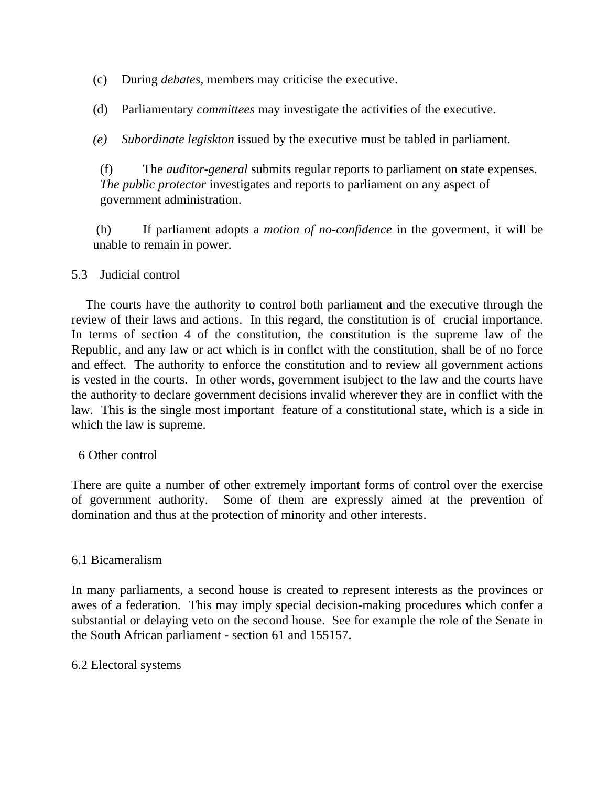- (c) During *debates,* members may criticise the executive.
- (d) Parliamentary *committees* may investigate the activities of the executive.
- *(e) Subordinate legiskton* issued by the executive must be tabled in parliament.

(f) The *auditor-general* submits regular reports to parliament on state expenses. *The public protector* investigates and reports to parliament on any aspect of government administration.

 (h) If parliament adopts a *motion of no-confidence* in the goverment, it will be unable to remain in power.

## 5.3 Judicial control

The courts have the authority to control both parliament and the executive through the review of their laws and actions. In this regard, the constitution is of crucial importance. In terms of section 4 of the constitution, the constitution is the supreme law of the Republic, and any law or act which is in conflct with the constitution, shall be of no force and effect. The authority to enforce the constitution and to review all government actions is vested in the courts. In other words, government isubject to the law and the courts have the authority to declare government decisions invalid wherever they are in conflict with the law. This is the single most important feature of a constitutional state, which is a side in which the law is supreme.

6 Other control

There are quite a number of other extremely important forms of control over the exercise of government authority. Some of them are expressly aimed at the prevention of domination and thus at the protection of minority and other interests.

## 6.1 Bicameralism

In many parliaments, a second house is created to represent interests as the provinces or awes of a federation. This may imply special decision-making procedures which confer a substantial or delaying veto on the second house. See for example the role of the Senate in the South African parliament - section 61 and 155157.

## 6.2 Electoral systems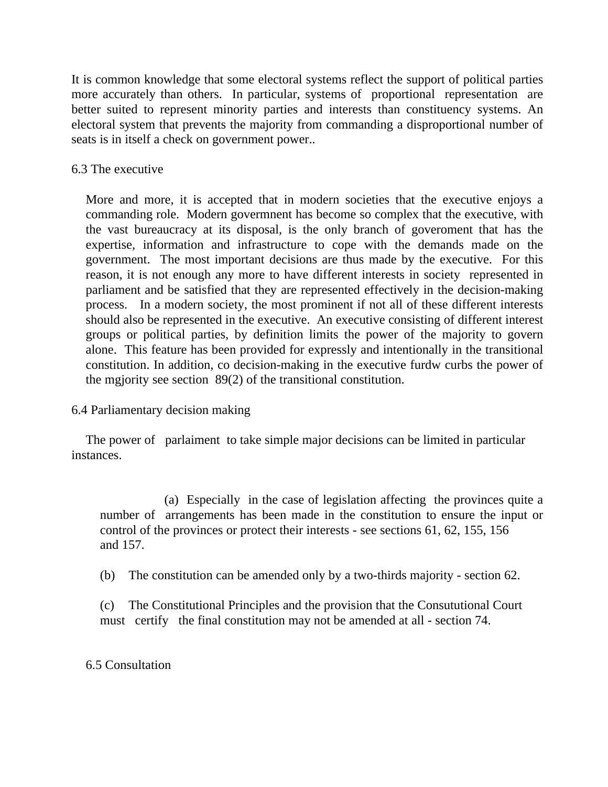It is common knowledge that some electoral systems reflect the support of political parties more accurately than others. In particular, systems of proportional representation are better suited to represent minority parties and interests than constituency systems. An electoral system that prevents the majority from commanding a disproportional number of seats is in itself a check on government power..

6.3 The executive

More and more, it is accepted that in modern societies that the executive enjoys a commanding role. Modern govermnent has become so complex that the executive, with the vast bureaucracy at its disposal, is the only branch of goveroment that has the expertise, information and infrastructure to cope with the demands made on the government. The most important decisions are thus made by the executive. For this reason, it is not enough any more to have different interests in society represented in parliament and be satisfied that they are represented effectively in the decision-making process. In a modern society, the most prominent if not all of these different interests should also be represented in the executive. An executive consisting of different interest groups or political parties, by definition limits the power of the majority to govern alone. This feature has been provided for expressly and intentionally in the transitional constitution. In addition, co decision-making in the executive furdw curbs the power of the mgjority see section 89(2) of the transitional constitution.

6.4 Parliamentary decision making

The power of parlaiment to take simple major decisions can be limited in particular instances.

(a) Especially in the case of legislation affecting the provinces quite a number of arrangements has been made in the constitution to ensure the input or control of the provinces or protect their interests - see sections 61, 62, 155, 156 and 157.

(b) The constitution can be amended only by a two-thirds majority - section 62.

(c) The Constitutional Principles and the provision that the Consututional Court must certify the final constitution may not be amended at all - section 74.

## 6.5 Consultation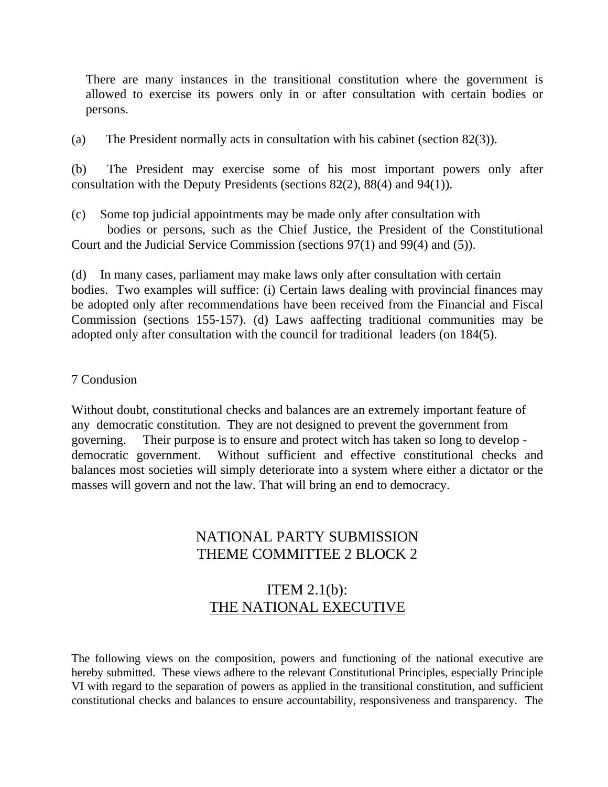There are many instances in the transitional constitution where the government is allowed to exercise its powers only in or after consultation with certain bodies or persons.

(a) The President normally acts in consultation with his cabinet (section 82(3)).

(b) The President may exercise some of his most important powers only after consultation with the Deputy Presidents (sections 82(2), 88(4) and 94(1)).

(c) Some top judicial appointments may be made only after consultation with

bodies or persons, such as the Chief Justice, the President of the Constitutional Court and the Judicial Service Commission (sections 97(1) and 99(4) and (5)).

(d) In many cases, parliament may make laws only after consultation with certain bodies. Two examples will suffice: (i) Certain laws dealing with provincial finances may be adopted only after recommendations have been received from the Financial and Fiscal Commission (sections 155-157). (d) Laws aaffecting traditional communities may be adopted only after consultation with the council for traditional leaders (on 184(5).

## 7 Condusion

Without doubt, constitutional checks and balances are an extremely important feature of any democratic constitution. They are not designed to prevent the government from governing. Their purpose is to ensure and protect witch has taken so long to develop democratic government. Without sufficient and effective constitutional checks and balances most societies will simply deteriorate into a system where either a dictator or the masses will govern and not the law. That will bring an end to democracy.

## NATIONAL PARTY SUBMISSION THEME COMMITTEE 2 BLOCK 2

## ITEM 2.1(b): THE NATIONAL EXECUTIVE

The following views on the composition, powers and functioning of the national executive are hereby submitted. These views adhere to the relevant Constitutional Principles, especially Principle VI with regard to the separation of powers as applied in the transitional constitution, and sufficient constitutional checks and balances to ensure accountability, responsiveness and transparency. The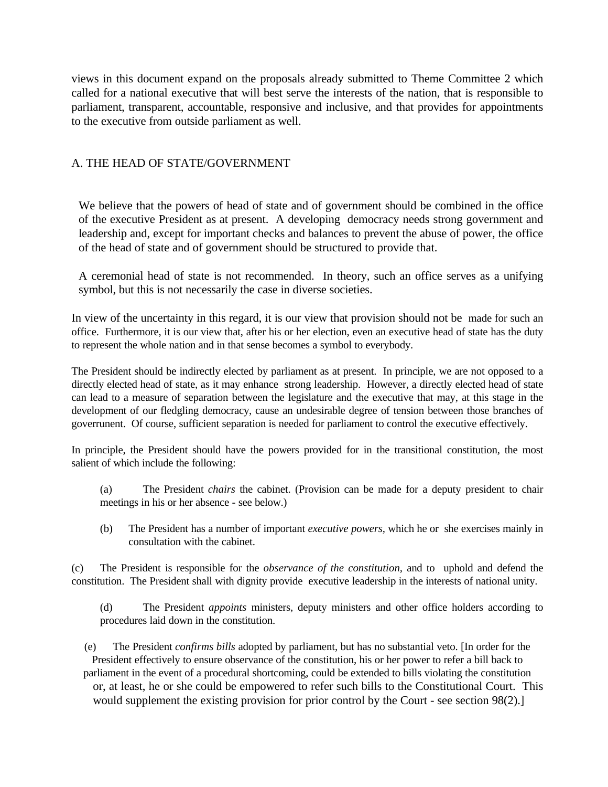views in this document expand on the proposals already submitted to Theme Committee 2 which called for a national executive that will best serve the interests of the nation, that is responsible to parliament, transparent, accountable, responsive and inclusive, and that provides for appointments to the executive from outside parliament as well.

#### A. THE HEAD OF STATE/GOVERNMENT

We believe that the powers of head of state and of government should be combined in the office of the executive President as at present. A developing democracy needs strong government and leadership and, except for important checks and balances to prevent the abuse of power, the office of the head of state and of government should be structured to provide that.

A ceremonial head of state is not recommended. In theory, such an office serves as a unifying symbol, but this is not necessarily the case in diverse societies.

In view of the uncertainty in this regard, it is our view that provision should not be made for such an office. Furthermore, it is our view that, after his or her election, even an executive head of state has the duty to represent the whole nation and in that sense becomes a symbol to everybody.

The President should be indirectly elected by parliament as at present. In principle, we are not opposed to a directly elected head of state, as it may enhance strong leadership. However, a directly elected head of state can lead to a measure of separation between the legislature and the executive that may, at this stage in the development of our fledgling democracy, cause an undesirable degree of tension between those branches of goverrunent. Of course, sufficient separation is needed for parliament to control the executive effectively.

In principle, the President should have the powers provided for in the transitional constitution, the most salient of which include the following:

- (a) The President *chairs* the cabinet. (Provision can be made for a deputy president to chair meetings in his or her absence - see below.)
- (b) The President has a number of important *executive powers,* which he or she exercises mainly in consultation with the cabinet.

(c) The President is responsible for the *observance of the constitution,* and to uphold and defend the constitution. The President shall with dignity provide executive leadership in the interests of national unity.

(d) The President *appoints* ministers, deputy ministers and other office holders according to procedures laid down in the constitution.

(e) The President *confirms bills* adopted by parliament, but has no substantial veto. [In order for the President effectively to ensure observance of the constitution, his or her power to refer a bill back to parliament in the event of a procedural shortcoming, could be extended to bills violating the constitution or, at least, he or she could be empowered to refer such bills to the Constitutional Court. This would supplement the existing provision for prior control by the Court - see section 98(2).]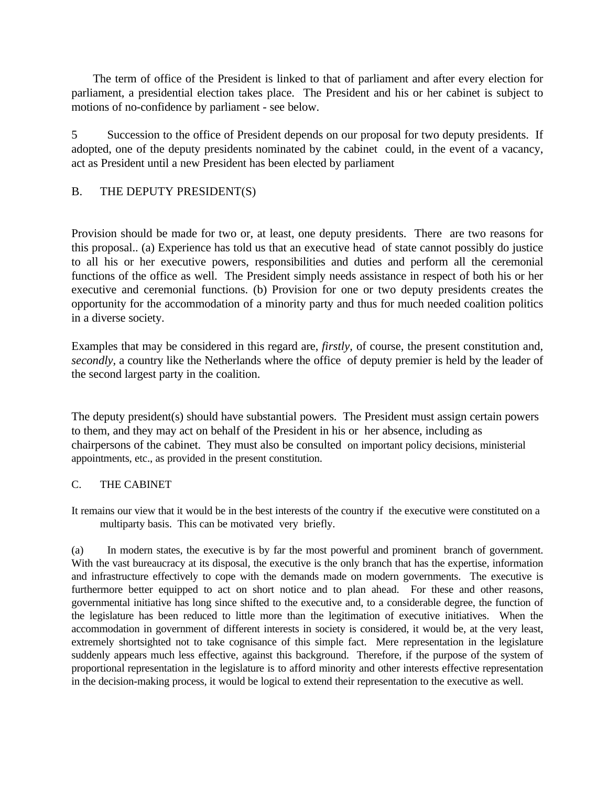The term of office of the President is linked to that of parliament and after every election for parliament, a presidential election takes place. The President and his or her cabinet is subject to motions of no-confidence by parliament - see below.

5 Succession to the office of President depends on our proposal for two deputy presidents. If adopted, one of the deputy presidents nominated by the cabinet could, in the event of a vacancy, act as President until a new President has been elected by parliament

## B. THE DEPUTY PRESIDENT(S)

Provision should be made for two or, at least, one deputy presidents. There are two reasons for this proposal.. (a) Experience has told us that an executive head of state cannot possibly do justice to all his or her executive powers, responsibilities and duties and perform all the ceremonial functions of the office as well. The President simply needs assistance in respect of both his or her executive and ceremonial functions. (b) Provision for one or two deputy presidents creates the opportunity for the accommodation of a minority party and thus for much needed coalition politics in a diverse society.

Examples that may be considered in this regard are, *firstly,* of course, the present constitution and, *secondly,* a country like the Netherlands where the office of deputy premier is held by the leader of the second largest party in the coalition.

The deputy president(s) should have substantial powers. The President must assign certain powers to them, and they may act on behalf of the President in his or her absence, including as chairpersons of the cabinet. They must also be consulted on important policy decisions, ministerial appointments, etc., as provided in the present constitution.

#### C. THE CABINET

It remains our view that it would be in the best interests of the country if the executive were constituted on a multiparty basis. This can be motivated very briefly.

(a) In modern states, the executive is by far the most powerful and prominent branch of government. With the vast bureaucracy at its disposal, the executive is the only branch that has the expertise, information and infrastructure effectively to cope with the demands made on modern governments. The executive is furthermore better equipped to act on short notice and to plan ahead. For these and other reasons, governmental initiative has long since shifted to the executive and, to a considerable degree, the function of the legislature has been reduced to little more than the legitimation of executive initiatives. When the accommodation in government of different interests in society is considered, it would be, at the very least, extremely shortsighted not to take cognisance of this simple fact. Mere representation in the legislature suddenly appears much less effective, against this background. Therefore, if the purpose of the system of proportional representation in the legislature is to afford minority and other interests effective representation in the decision-making process, it would be logical to extend their representation to the executive as well.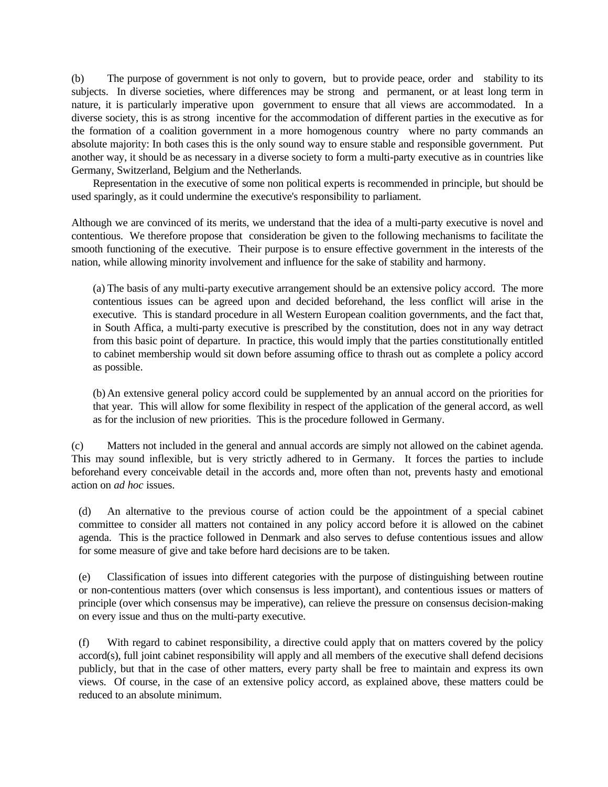(b) The purpose of government is not only to govern, but to provide peace, order and stability to its subjects. In diverse societies, where differences may be strong and permanent, or at least long term in nature, it is particularly imperative upon government to ensure that all views are accommodated. In a diverse society, this is as strong incentive for the accommodation of different parties in the executive as for the formation of a coalition government in a more homogenous country where no party commands an absolute majority: In both cases this is the only sound way to ensure stable and responsible government. Put another way, it should be as necessary in a diverse society to form a multi-party executive as in countries like Germany, Switzerland, Belgium and the Netherlands.

Representation in the executive of some non political experts is recommended in principle, but should be used sparingly, as it could undermine the executive's responsibility to parliament.

Although we are convinced of its merits, we understand that the idea of a multi-party executive is novel and contentious. We therefore propose that consideration be given to the following mechanisms to facilitate the smooth functioning of the executive. Their purpose is to ensure effective government in the interests of the nation, while allowing minority involvement and influence for the sake of stability and harmony.

(a) The basis of any multi-party executive arrangement should be an extensive policy accord. The more contentious issues can be agreed upon and decided beforehand, the less conflict will arise in the executive. This is standard procedure in all Western European coalition governments, and the fact that, in South Affica, a multi-party executive is prescribed by the constitution, does not in any way detract from this basic point of departure. In practice, this would imply that the parties constitutionally entitled to cabinet membership would sit down before assuming office to thrash out as complete a policy accord as possible.

(b) An extensive general policy accord could be supplemented by an annual accord on the priorities for that year. This will allow for some flexibility in respect of the application of the general accord, as well as for the inclusion of new priorities. This is the procedure followed in Germany.

(c) Matters not included in the general and annual accords are simply not allowed on the cabinet agenda. This may sound inflexible, but is very strictly adhered to in Germany. It forces the parties to include beforehand every conceivable detail in the accords and, more often than not, prevents hasty and emotional action on *ad hoc* issues.

(d) An alternative to the previous course of action could be the appointment of a special cabinet committee to consider all matters not contained in any policy accord before it is allowed on the cabinet agenda. This is the practice followed in Denmark and also serves to defuse contentious issues and allow for some measure of give and take before hard decisions are to be taken.

(e) Classification of issues into different categories with the purpose of distinguishing between routine or non-contentious matters (over which consensus is less important), and contentious issues or matters of principle (over which consensus may be imperative), can relieve the pressure on consensus decision-making on every issue and thus on the multi-party executive.

(f) With regard to cabinet responsibility, a directive could apply that on matters covered by the policy accord(s), full joint cabinet responsibility will apply and all members of the executive shall defend decisions publicly, but that in the case of other matters, every party shall be free to maintain and express its own views. Of course, in the case of an extensive policy accord, as explained above, these matters could be reduced to an absolute minimum.